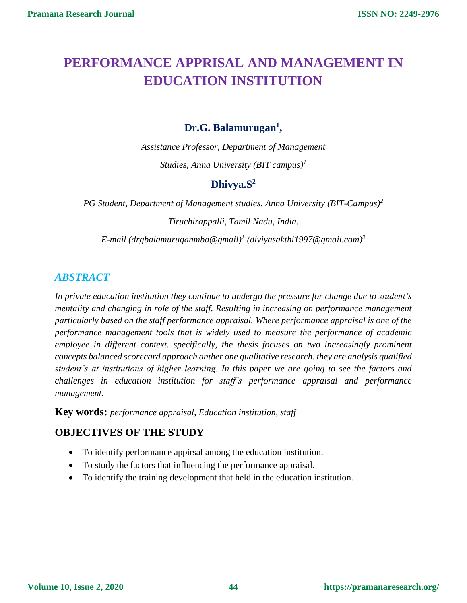# **PERFORMANCE APPRISAL AND MANAGEMENT IN EDUCATION INSTITUTION**

# **Dr.G. Balamurugan<sup>1</sup> ,**

*Assistance Professor, Department of Management Studies, Anna University (BIT campus)<sup>1</sup>*

# **Dhivya.S<sup>2</sup>**

*PG Student, Department of Management studies, Anna University (BIT-Campus)<sup>2</sup> Tiruchirappalli, Tamil Nadu, India.*

*E-mail (drgbalamuruganmba@gmail)<sup>1</sup> (diviyasakthi1997@gmail.com)<sup>2</sup>*

# *ABSTRACT*

*In private education institution they continue to undergo the pressure for change due to student's mentality and changing in role of the staff. Resulting in increasing on performance management particularly based on the staff performance appraisal. Where performance appraisal is one of the performance management tools that is widely used to measure the performance of academic employee in different context. specifically, the thesis focuses on two increasingly prominent concepts balanced scorecard approach anther one qualitative research. they are analysis qualified student's at institutions of higher learning. In this paper we are going to see the factors and challenges in education institution for staff's performance appraisal and performance management.* 

**Key words:** *performance appraisal, Education institution, staff*

# **OBJECTIVES OF THE STUDY**

- To identify performance appirsal among the education institution.
- To study the factors that influencing the performance appraisal.
- To identify the training development that held in the education institution.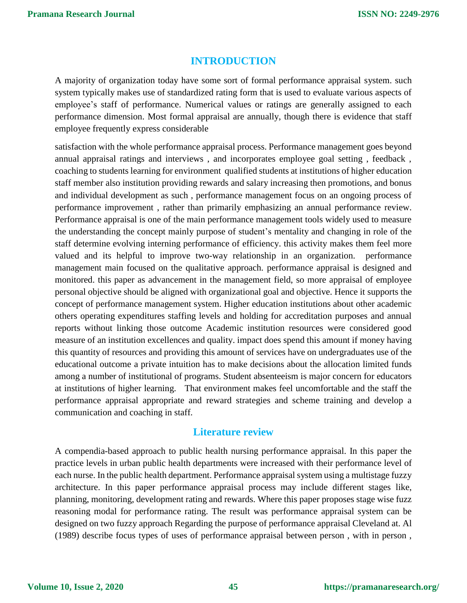# **INTRODUCTION**

A majority of organization today have some sort of formal performance appraisal system. such system typically makes use of standardized rating form that is used to evaluate various aspects of employee's staff of performance. Numerical values or ratings are generally assigned to each performance dimension. Most formal appraisal are annually, though there is evidence that staff employee frequently express considerable

satisfaction with the whole performance appraisal process. Performance management goes beyond annual appraisal ratings and interviews , and incorporates employee goal setting , feedback , coaching to students learning for environment qualified students at institutions of higher education staff member also institution providing rewards and salary increasing then promotions, and bonus and individual development as such , performance management focus on an ongoing process of performance improvement , rather than primarily emphasizing an annual performance review. Performance appraisal is one of the main performance management tools widely used to measure the understanding the concept mainly purpose of student's mentality and changing in role of the staff determine evolving interning performance of efficiency. this activity makes them feel more valued and its helpful to improve two-way relationship in an organization. performance management main focused on the qualitative approach. performance appraisal is designed and monitored. this paper as advancement in the management field, so more appraisal of employee personal objective should be aligned with organizational goal and objective. Hence it supports the concept of performance management system. Higher education institutions about other academic others operating expenditures staffing levels and holding for accreditation purposes and annual reports without linking those outcome Academic institution resources were considered good measure of an institution excellences and quality. impact does spend this amount if money having this quantity of resources and providing this amount of services have on undergraduates use of the educational outcome a private intuition has to make decisions about the allocation limited funds among a number of institutional of programs. Student absenteeism is major concern for educators at institutions of higher learning. That environment makes feel uncomfortable and the staff the performance appraisal appropriate and reward strategies and scheme training and develop a communication and coaching in staff.

### **Literature review**

A compendia-based approach to public health nursing performance appraisal. In this paper the practice levels in urban public health departments were increased with their performance level of each nurse. In the public health department. Performance appraisal system using a multistage fuzzy architecture. In this paper performance appraisal process may include different stages like, planning, monitoring, development rating and rewards. Where this paper proposes stage wise fuzz reasoning modal for performance rating. The result was performance appraisal system can be designed on two fuzzy approach Regarding the purpose of performance appraisal Cleveland at. Al (1989) describe focus types of uses of performance appraisal between person , with in person ,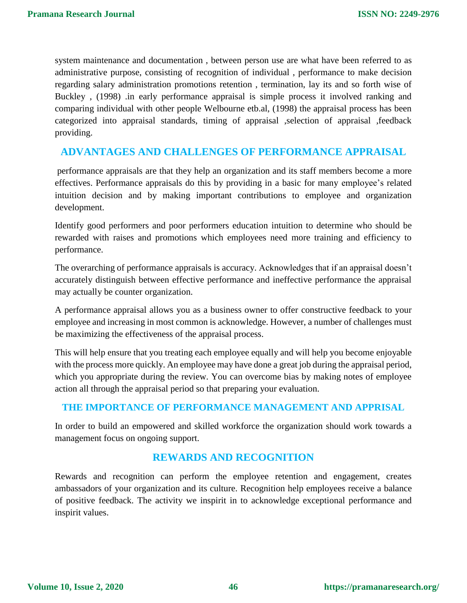system maintenance and documentation , between person use are what have been referred to as administrative purpose, consisting of recognition of individual , performance to make decision regarding salary administration promotions retention , termination, lay its and so forth wise of Buckley , (1998) .in early performance appraisal is simple process it involved ranking and comparing individual with other people Welbourne etb.al, (1998) the appraisal process has been categorized into appraisal standards, timing of appraisal ,selection of appraisal ,feedback providing.

# **ADVANTAGES AND CHALLENGES OF PERFORMANCE APPRAISAL**

performance appraisals are that they help an organization and its staff members become a more effectives. Performance appraisals do this by providing in a basic for many employee's related intuition decision and by making important contributions to employee and organization development.

Identify good performers and poor performers education intuition to determine who should be rewarded with raises and promotions which employees need more training and efficiency to performance.

The overarching of performance appraisals is accuracy. Acknowledges that if an appraisal doesn't accurately distinguish between effective performance and ineffective performance the appraisal may actually be counter organization.

A performance appraisal allows you as a business owner to offer constructive feedback to your employee and increasing in most common is acknowledge. However, a number of challenges must be maximizing the effectiveness of the appraisal process.

This will help ensure that you treating each employee equally and will help you become enjoyable with the process more quickly. An employee may have done a great job during the appraisal period, which you appropriate during the review. You can overcome bias by making notes of employee action all through the appraisal period so that preparing your evaluation.

# **THE IMPORTANCE OF PERFORMANCE MANAGEMENT AND APPRISAL**

In order to build an empowered and skilled workforce the organization should work towards a management focus on ongoing support.

# **REWARDS AND RECOGNITION**

Rewards and recognition can perform the employee retention and engagement, creates ambassadors of your organization and its culture. Recognition help employees receive a balance of positive feedback. The activity we inspirit in to acknowledge exceptional performance and inspirit values.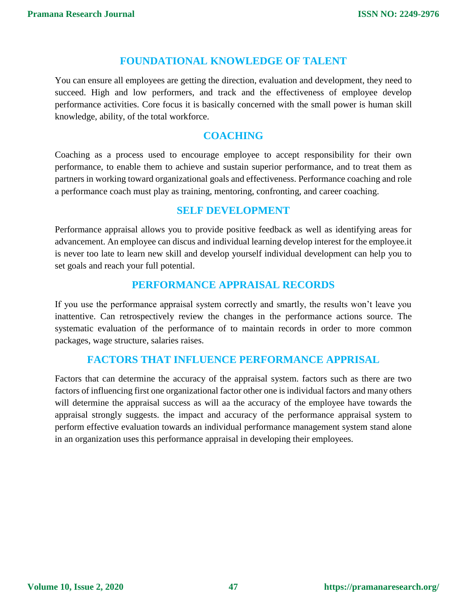### **FOUNDATIONAL KNOWLEDGE OF TALENT**

You can ensure all employees are getting the direction, evaluation and development, they need to succeed. High and low performers, and track and the effectiveness of employee develop performance activities. Core focus it is basically concerned with the small power is human skill knowledge, ability, of the total workforce.

### **COACHING**

Coaching as a process used to encourage employee to accept responsibility for their own performance, to enable them to achieve and sustain superior performance, and to treat them as partners in working toward organizational goals and effectiveness. Performance coaching and role a performance coach must play as training, mentoring, confronting, and career coaching.

### **SELF DEVELOPMENT**

Performance appraisal allows you to provide positive feedback as well as identifying areas for advancement. An employee can discus and individual learning develop interest for the employee.it is never too late to learn new skill and develop yourself individual development can help you to set goals and reach your full potential.

# **PERFORMANCE APPRAISAL RECORDS**

If you use the performance appraisal system correctly and smartly, the results won't leave you inattentive. Can retrospectively review the changes in the performance actions source. The systematic evaluation of the performance of to maintain records in order to more common packages, wage structure, salaries raises.

# **FACTORS THAT INFLUENCE PERFORMANCE APPRISAL**

Factors that can determine the accuracy of the appraisal system. factors such as there are two factors of influencing first one organizational factor other one is individual factors and many others will determine the appraisal success as will aa the accuracy of the employee have towards the appraisal strongly suggests. the impact and accuracy of the performance appraisal system to perform effective evaluation towards an individual performance management system stand alone in an organization uses this performance appraisal in developing their employees.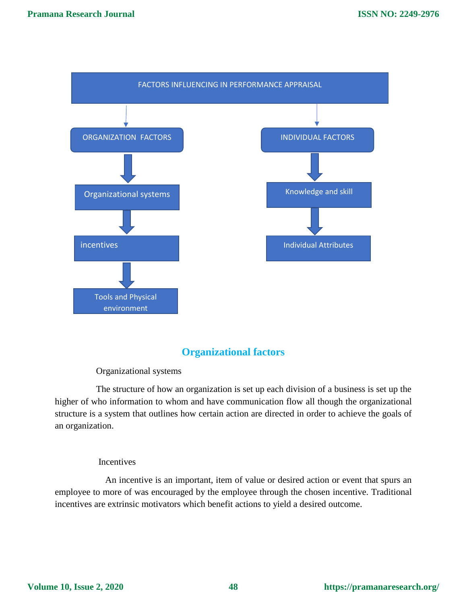

# **Organizational factors**

#### Organizational systems

 The structure of how an organization is set up each division of a business is set up the higher of who information to whom and have communication flow all though the organizational structure is a system that outlines how certain action are directed in order to achieve the goals of an organization.

#### Incentives

 An incentive is an important, item of value or desired action or event that spurs an employee to more of was encouraged by the employee through the chosen incentive. Traditional incentives are extrinsic motivators which benefit actions to yield a desired outcome.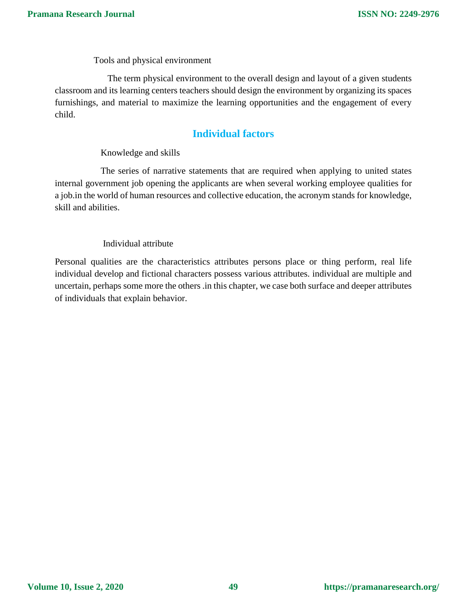Tools and physical environment

 The term physical environment to the overall design and layout of a given students classroom and its learning centers teachers should design the environment by organizing its spaces furnishings, and material to maximize the learning opportunities and the engagement of every child.

# **Individual factors**

#### Knowledge and skills

 The series of narrative statements that are required when applying to united states internal government job opening the applicants are when several working employee qualities for a job.in the world of human resources and collective education, the acronym stands for knowledge, skill and abilities.

#### Individual attribute

Personal qualities are the characteristics attributes persons place or thing perform, real life individual develop and fictional characters possess various attributes. individual are multiple and uncertain, perhaps some more the others .in this chapter, we case both surface and deeper attributes of individuals that explain behavior.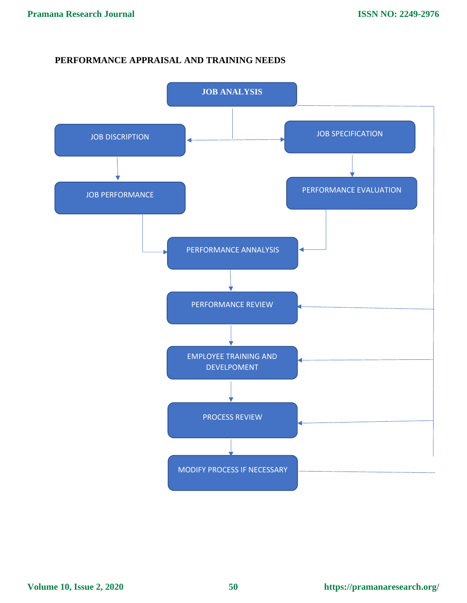### **PERFORMANCE APPRAISAL AND TRAINING NEEDS**

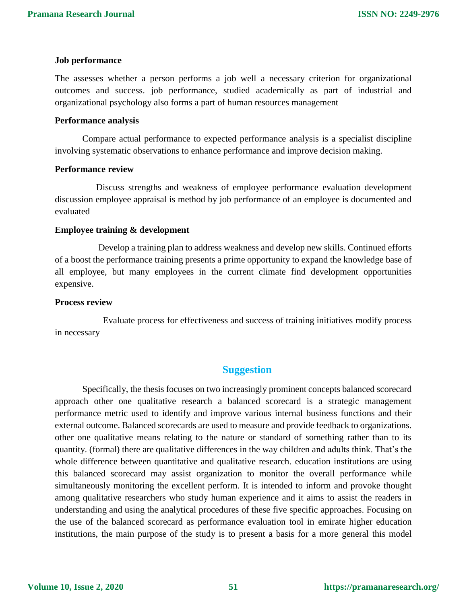#### **Job performance**

The assesses whether a person performs a job well a necessary criterion for organizational outcomes and success. job performance, studied academically as part of industrial and organizational psychology also forms a part of human resources management

#### **Performance analysis**

Compare actual performance to expected performance analysis is a specialist discipline involving systematic observations to enhance performance and improve decision making.

#### **Performance review**

 Discuss strengths and weakness of employee performance evaluation development discussion employee appraisal is method by job performance of an employee is documented and evaluated

#### **Employee training & development**

 Develop a training plan to address weakness and develop new skills. Continued efforts of a boost the performance training presents a prime opportunity to expand the knowledge base of all employee, but many employees in the current climate find development opportunities expensive.

#### **Process review**

 Evaluate process for effectiveness and success of training initiatives modify process in necessary

### **Suggestion**

Specifically, the thesis focuses on two increasingly prominent concepts balanced scorecard approach other one qualitative research a balanced scorecard is a strategic management performance metric used to identify and improve various internal business functions and their external outcome. Balanced scorecards are used to measure and provide feedback to organizations. other one qualitative means relating to the nature or standard of something rather than to its quantity. (formal) there are qualitative differences in the way children and adults think. That's the whole difference between quantitative and qualitative research. education institutions are using this balanced scorecard may assist organization to monitor the overall performance while simultaneously monitoring the excellent perform. It is intended to inform and provoke thought among qualitative researchers who study human experience and it aims to assist the readers in understanding and using the analytical procedures of these five specific approaches. Focusing on the use of the balanced scorecard as performance evaluation tool in emirate higher education institutions, the main purpose of the study is to present a basis for a more general this model